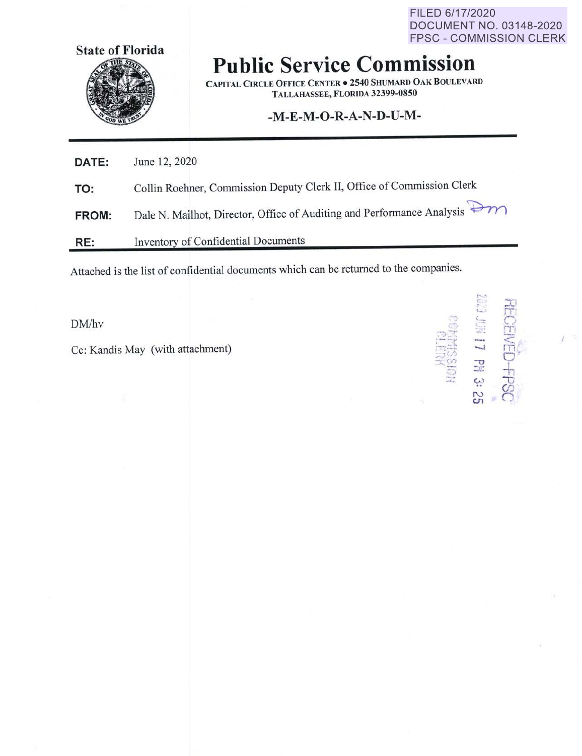FILED 6/17/2020 **DOCUMENT NO. 03148-2020 FPSC - COMMISSION CLERK** 



## **Public Service Commission**

**CAPITAL CIRCLE OFFICE CENTER . 2540 SHUMARD OAK BOULEVARD** TALLAHASSEE, FLORIDA 32399-0850

## -M-E-M-O-R-A-N-D-U-M-

| DATE:        | June 12, 2020                                                          |
|--------------|------------------------------------------------------------------------|
| TO:          | Collin Roehner, Commission Deputy Clerk II, Office of Commission Clerk |
| <b>FROM:</b> | Dale N. Mailhot, Director, Office of Auditing and Performance Analysis |

Inventory of Confidential Documents RE:

Attached is the list of confidential documents which can be returned to the companies.

DM/hv

Cc: Kandis May (with attachment)

RECEIVED-FPSC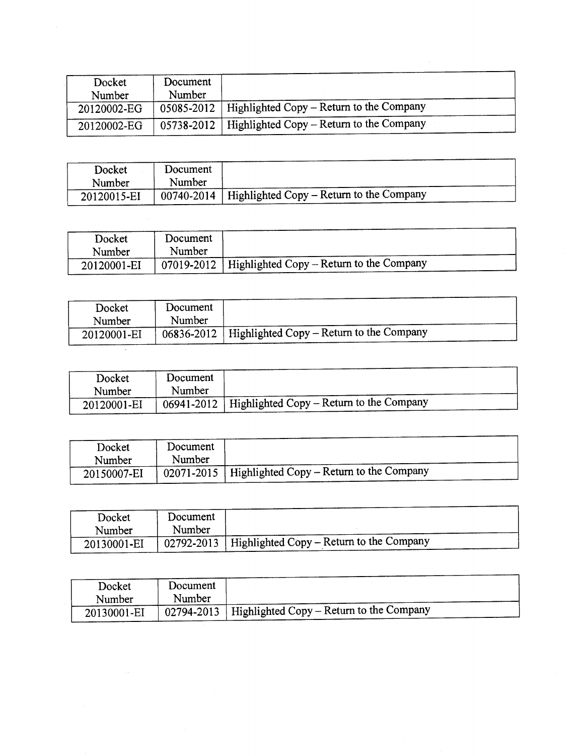| Docket<br>Number | Document<br>Number |                                                       |
|------------------|--------------------|-------------------------------------------------------|
| 20120002-EG      |                    | 05085-2012   Highlighted Copy – Return to the Company |
| 20120002-EG      | 05738-2012         | Highlighted Copy – Return to the Company              |

 $\mathcal{A}^{\text{max}}$ 

 $\sim$ 

| Docket<br>Number | Document<br>Number |                                                           |
|------------------|--------------------|-----------------------------------------------------------|
| 20120015-EI      |                    | $00740 - 2014$   Highlighted Copy – Return to the Company |

| Docket      | Document |                                                           |
|-------------|----------|-----------------------------------------------------------|
| Number      | Number   |                                                           |
| 20120001-EI |          | $07019 - 2012$   Highlighted Copy – Return to the Company |

| Docket<br>Number | Document<br>Number |                                                         |
|------------------|--------------------|---------------------------------------------------------|
| 20120001-EI      |                    | $06836-2012$   Highlighted Copy – Return to the Company |

| Docket      | Document |                                                         |
|-------------|----------|---------------------------------------------------------|
| Number      | Number   |                                                         |
| 20120001-EI |          | $06941 - 2012$ Highlighted Copy – Return to the Company |

| Docket<br>Number | Document<br>Number |                                                       |
|------------------|--------------------|-------------------------------------------------------|
| 20150007-EI      |                    | 02071-2015   Highlighted Copy – Return to the Company |

| Docket<br>Number | Document<br>Number |                                          |
|------------------|--------------------|------------------------------------------|
| 20130001-EI      | 02792-2013         | Highlighted Copy – Return to the Company |
|                  |                    |                                          |

| Docket      | Document |                                                                 |
|-------------|----------|-----------------------------------------------------------------|
| Number      | Number   |                                                                 |
| 20130001-EI |          | $\degree$ 02794-2013   Highlighted Copy – Return to the Company |
|             |          |                                                                 |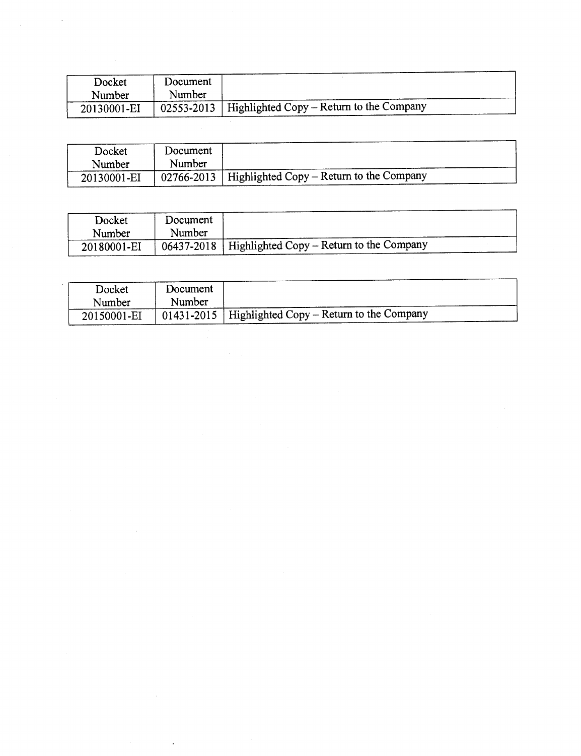| Docket      | Document |                                                                     |
|-------------|----------|---------------------------------------------------------------------|
| Number      | Number   |                                                                     |
| 20130001-EI |          | $\frac{1}{2}$ 02553-2013   Highlighted Copy – Return to the Company |

 $\mathcal{A}^{\mathcal{A}}$ 

| Docket<br>Number | Document<br>Number |                                                           |
|------------------|--------------------|-----------------------------------------------------------|
| 20130001-EI      |                    | $02766 - 2013$   Highlighted Copy – Return to the Company |

| Docket      | Document |                                                         |
|-------------|----------|---------------------------------------------------------|
| Number      | Number   |                                                         |
| 20180001-EI |          | $06437-2018$   Highlighted Copy – Return to the Company |

| Docket      | Document |                                                       |  |
|-------------|----------|-------------------------------------------------------|--|
| Number      | Number   |                                                       |  |
| 20150001-EI |          | 01431-2015   Highlighted Copy – Return to the Company |  |
|             |          |                                                       |  |